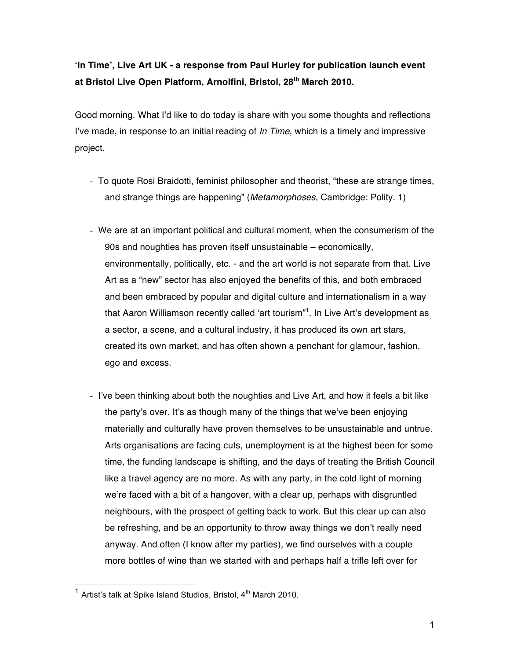## **ʻIn Time', Live Art UK - a response from Paul Hurley for publication launch event at Bristol Live Open Platform, Arnolfini, Bristol, 28th March 2010.**

Good morning. What I'd like to do today is share with you some thoughts and reflections I've made, in response to an initial reading of *In Time*, which is a timely and impressive project.

- To quote Rosi Braidotti, feminist philosopher and theorist, "these are strange times, and strange things are happening" (*Metamorphoses*, Cambridge: Polity. 1)
- We are at an important political and cultural moment, when the consumerism of the 90s and noughties has proven itself unsustainable – economically, environmentally, politically, etc. - and the art world is not separate from that. Live Art as a "new" sector has also enjoyed the benefits of this, and both embraced and been embraced by popular and digital culture and internationalism in a way that Aaron Williamson recently called 'art tourism"<sup>1</sup>. In Live Art's development as a sector, a scene, and a cultural industry, it has produced its own art stars, created its own market, and has often shown a penchant for glamour, fashion, ego and excess.
- I've been thinking about both the noughties and Live Art, and how it feels a bit like the party's over. It's as though many of the things that we've been enjoying materially and culturally have proven themselves to be unsustainable and untrue. Arts organisations are facing cuts, unemployment is at the highest been for some time, the funding landscape is shifting, and the days of treating the British Council like a travel agency are no more. As with any party, in the cold light of morning we're faced with a bit of a hangover, with a clear up, perhaps with disgruntled neighbours, with the prospect of getting back to work. But this clear up can also be refreshing, and be an opportunity to throw away things we don't really need anyway. And often (I know after my parties), we find ourselves with a couple more bottles of wine than we started with and perhaps half a trifle left over for

 $1$  Artist's talk at Spike Island Studios, Bristol,  $4^{\text{th}}$  March 2010.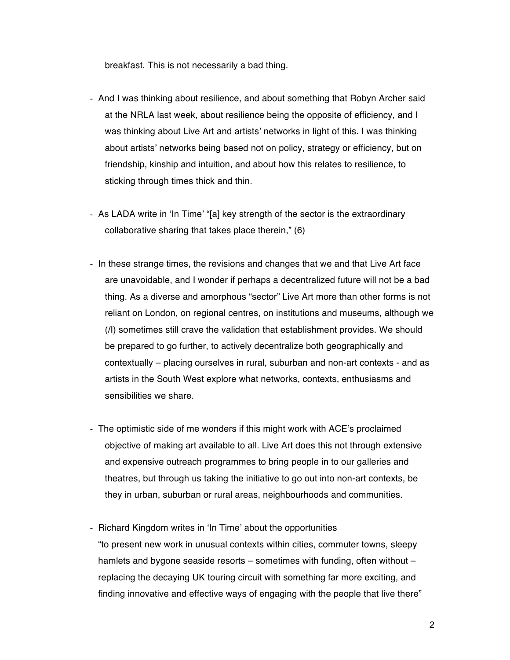breakfast. This is not necessarily a bad thing.

- And I was thinking about resilience, and about something that Robyn Archer said at the NRLA last week, about resilience being the opposite of efficiency, and I was thinking about Live Art and artists' networks in light of this. I was thinking about artists' networks being based not on policy, strategy or efficiency, but on friendship, kinship and intuition, and about how this relates to resilience, to sticking through times thick and thin.
- As LADA write in ʻIn Time' "[a] key strength of the sector is the extraordinary collaborative sharing that takes place therein," (6)
- In these strange times, the revisions and changes that we and that Live Art face are unavoidable, and I wonder if perhaps a decentralized future will not be a bad thing. As a diverse and amorphous "sector" Live Art more than other forms is not reliant on London, on regional centres, on institutions and museums, although we (/I) sometimes still crave the validation that establishment provides. We should be prepared to go further, to actively decentralize both geographically and contextually – placing ourselves in rural, suburban and non-art contexts - and as artists in the South West explore what networks, contexts, enthusiasms and sensibilities we share.
- The optimistic side of me wonders if this might work with ACE's proclaimed objective of making art available to all. Live Art does this not through extensive and expensive outreach programmes to bring people in to our galleries and theatres, but through us taking the initiative to go out into non-art contexts, be they in urban, suburban or rural areas, neighbourhoods and communities.
- Richard Kingdom writes in ʻIn Time' about the opportunities "to present new work in unusual contexts within cities, commuter towns, sleepy hamlets and bygone seaside resorts – sometimes with funding, often without – replacing the decaying UK touring circuit with something far more exciting, and finding innovative and effective ways of engaging with the people that live there"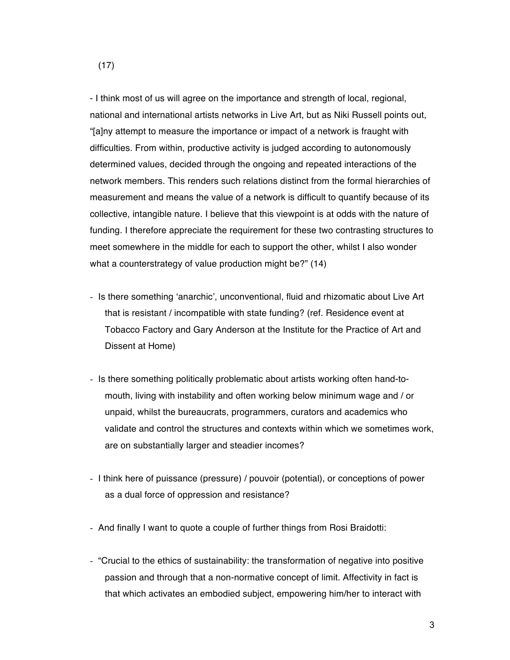- I think most of us will agree on the importance and strength of local, regional, national and international artists networks in Live Art, but as Niki Russell points out, "[a]ny attempt to measure the importance or impact of a network is fraught with difficulties. From within, productive activity is judged according to autonomously determined values, decided through the ongoing and repeated interactions of the network members. This renders such relations distinct from the formal hierarchies of measurement and means the value of a network is difficult to quantify because of its collective, intangible nature. I believe that this viewpoint is at odds with the nature of funding. I therefore appreciate the requirement for these two contrasting structures to meet somewhere in the middle for each to support the other, whilst I also wonder what a counterstrategy of value production might be?" (14)

- Is there something ʻanarchic', unconventional, fluid and rhizomatic about Live Art that is resistant / incompatible with state funding? (ref. Residence event at Tobacco Factory and Gary Anderson at the Institute for the Practice of Art and Dissent at Home)
- Is there something politically problematic about artists working often hand-tomouth, living with instability and often working below minimum wage and / or unpaid, whilst the bureaucrats, programmers, curators and academics who validate and control the structures and contexts within which we sometimes work, are on substantially larger and steadier incomes?
- I think here of puissance (pressure) / pouvoir (potential), or conceptions of power as a dual force of oppression and resistance?
- And finally I want to quote a couple of further things from Rosi Braidotti:
- "Crucial to the ethics of sustainability: the transformation of negative into positive passion and through that a non-normative concept of limit. Affectivity in fact is that which activates an embodied subject, empowering him/her to interact with

(17)